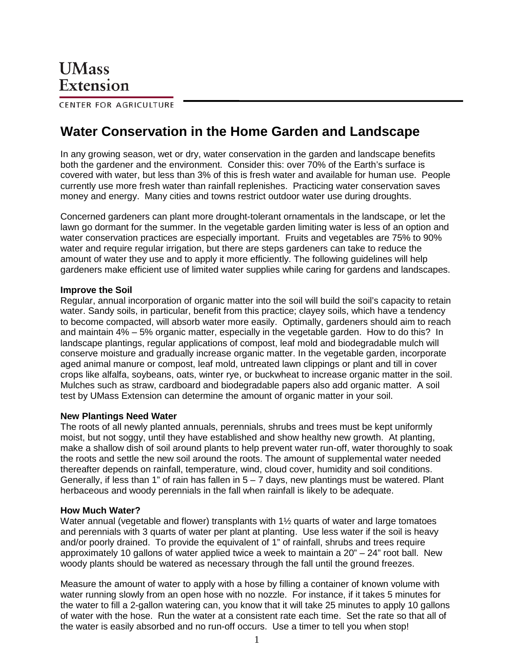CENTER FOR AGRICULTURE

# **Water Conservation in the Home Garden and Landscape**

In any growing season, wet or dry, water conservation in the garden and landscape benefits both the gardener and the environment. Consider this: over 70% of the Earth's surface is covered with water, but less than 3% of this is fresh water and available for human use. People currently use more fresh water than rainfall replenishes. Practicing water conservation saves money and energy. Many cities and towns restrict outdoor water use during droughts.

Concerned gardeners can plant more drought-tolerant ornamentals in the landscape, or let the lawn go dormant for the summer. In the vegetable garden limiting water is less of an option and water conservation practices are especially important. Fruits and vegetables are 75% to 90% water and require regular irrigation, but there are steps gardeners can take to reduce the amount of water they use and to apply it more efficiently. The following guidelines will help gardeners make efficient use of limited water supplies while caring for gardens and landscapes.

#### **Improve the Soil**

Regular, annual incorporation of organic matter into the soil will build the soil's capacity to retain water. Sandy soils, in particular, benefit from this practice; clayey soils, which have a tendency to become compacted, will absorb water more easily. Optimally, gardeners should aim to reach and maintain 4% – 5% organic matter, especially in the vegetable garden. How to do this? In landscape plantings, regular applications of compost, leaf mold and biodegradable mulch will conserve moisture and gradually increase organic matter. In the vegetable garden, incorporate aged animal manure or compost, leaf mold, untreated lawn clippings or plant and till in cover crops like alfalfa, soybeans, oats, winter rye, or buckwheat to increase organic matter in the soil. Mulches such as straw, cardboard and biodegradable papers also add organic matter. A soil test by UMass Extension can determine the amount of organic matter in your soil.

#### **New Plantings Need Water**

The roots of all newly planted annuals, perennials, shrubs and trees must be kept uniformly moist, but not soggy, until they have established and show healthy new growth. At planting, make a shallow dish of soil around plants to help prevent water run-off, water thoroughly to soak the roots and settle the new soil around the roots. The amount of supplemental water needed thereafter depends on rainfall, temperature, wind, cloud cover, humidity and soil conditions. Generally, if less than 1" of rain has fallen in  $5 - 7$  days, new plantings must be watered. Plant herbaceous and woody perennials in the fall when rainfall is likely to be adequate.

#### **How Much Water?**

Water annual (vegetable and flower) transplants with 1<sup>1</sup>/<sub>2</sub> quarts of water and large tomatoes and perennials with 3 quarts of water per plant at planting. Use less water if the soil is heavy and/or poorly drained. To provide the equivalent of 1" of rainfall, shrubs and trees require approximately 10 gallons of water applied twice a week to maintain a 20" – 24" root ball. New woody plants should be watered as necessary through the fall until the ground freezes.

Measure the amount of water to apply with a hose by filling a container of known volume with water running slowly from an open hose with no nozzle. For instance, if it takes 5 minutes for the water to fill a 2-gallon watering can, you know that it will take 25 minutes to apply 10 gallons of water with the hose. Run the water at a consistent rate each time. Set the rate so that all of the water is easily absorbed and no run-off occurs. Use a timer to tell you when stop!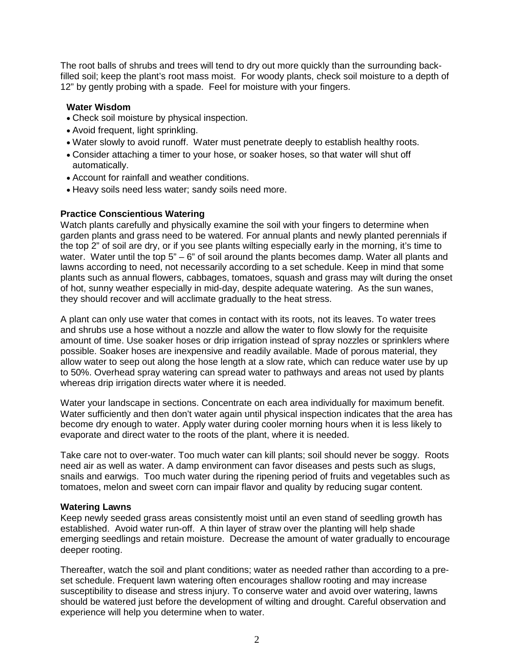The root balls of shrubs and trees will tend to dry out more quickly than the surrounding backfilled soil; keep the plant's root mass moist. For woody plants, check soil moisture to a depth of 12" by gently probing with a spade. Feel for moisture with your fingers.

# **Water Wisdom**

- Check soil moisture by physical inspection.
- Avoid frequent, light sprinkling.
- Water slowly to avoid runoff. Water must penetrate deeply to establish healthy roots.
- Consider attaching a timer to your hose, or soaker hoses, so that water will shut off automatically.
- Account for rainfall and weather conditions.
- Heavy soils need less water; sandy soils need more.

## **Practice Conscientious Watering**

Watch plants carefully and physically examine the soil with your fingers to determine when garden plants and grass need to be watered. For annual plants and newly planted perennials if the top 2" of soil are dry, or if you see plants wilting especially early in the morning, it's time to water. Water until the top 5" – 6" of soil around the plants becomes damp. Water all plants and lawns according to need, not necessarily according to a set schedule. Keep in mind that some plants such as annual flowers, cabbages, tomatoes, squash and grass may wilt during the onset of hot, sunny weather especially in mid-day, despite adequate watering. As the sun wanes, they should recover and will acclimate gradually to the heat stress.

A plant can only use water that comes in contact with its roots, not its leaves. To water trees and shrubs use a hose without a nozzle and allow the water to flow slowly for the requisite amount of time. Use soaker hoses or drip irrigation instead of spray nozzles or sprinklers where possible. Soaker hoses are inexpensive and readily available. Made of porous material, they allow water to seep out along the hose length at a slow rate, which can reduce water use by up to 50%. Overhead spray watering can spread water to pathways and areas not used by plants whereas drip irrigation directs water where it is needed.

Water your landscape in sections. Concentrate on each area individually for maximum benefit. Water sufficiently and then don't water again until physical inspection indicates that the area has become dry enough to water. Apply water during cooler morning hours when it is less likely to evaporate and direct water to the roots of the plant, where it is needed.

Take care not to over-water. Too much water can kill plants; soil should never be soggy. Roots need air as well as water. A damp environment can favor diseases and pests such as slugs, snails and earwigs. Too much water during the ripening period of fruits and vegetables such as tomatoes, melon and sweet corn can impair flavor and quality by reducing sugar content.

### **Watering Lawns**

Keep newly seeded grass areas consistently moist until an even stand of seedling growth has established. Avoid water run-off. A thin layer of straw over the planting will help shade emerging seedlings and retain moisture. Decrease the amount of water gradually to encourage deeper rooting.

Thereafter, watch the soil and plant conditions; water as needed rather than according to a preset schedule. Frequent lawn watering often encourages shallow rooting and may increase susceptibility to disease and stress injury. To conserve water and avoid over watering, lawns should be watered just before the development of wilting and drought. Careful observation and experience will help you determine when to water.